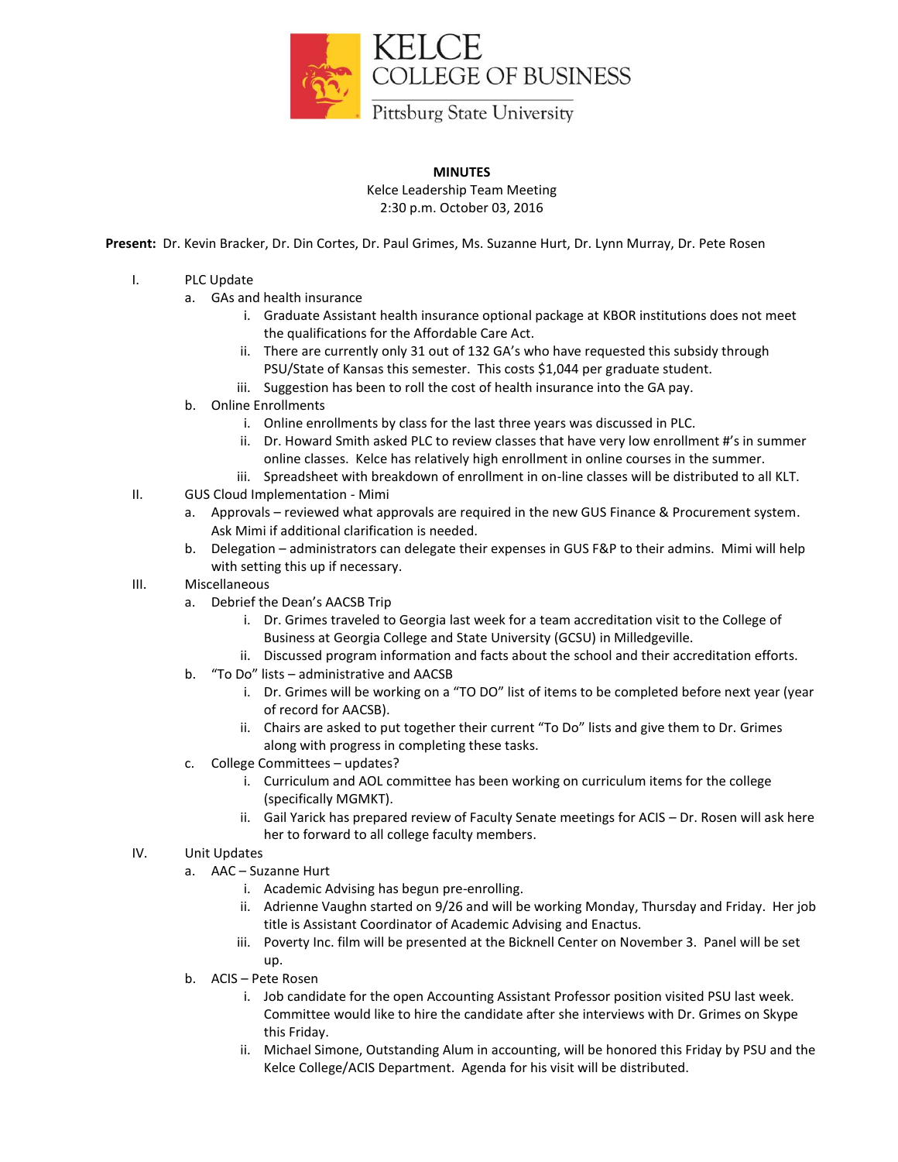

## **MINUTES**

Kelce Leadership Team Meeting 2:30 p.m. October 03, 2016

**Present:** Dr. Kevin Bracker, Dr. Din Cortes, Dr. Paul Grimes, Ms. Suzanne Hurt, Dr. Lynn Murray, Dr. Pete Rosen

- I. PLC Update
	- a. GAs and health insurance
		- i. Graduate Assistant health insurance optional package at KBOR institutions does not meet the qualifications for the Affordable Care Act.
		- ii. There are currently only 31 out of 132 GA's who have requested this subsidy through PSU/State of Kansas this semester. This costs \$1,044 per graduate student.
		- iii. Suggestion has been to roll the cost of health insurance into the GA pay.
	- b. Online Enrollments
		- i. Online enrollments by class for the last three years was discussed in PLC.
		- ii. Dr. Howard Smith asked PLC to review classes that have very low enrollment #'s in summer online classes. Kelce has relatively high enrollment in online courses in the summer.
		- iii. Spreadsheet with breakdown of enrollment in on-line classes will be distributed to all KLT.
- II. GUS Cloud Implementation Mimi
	- a. Approvals reviewed what approvals are required in the new GUS Finance & Procurement system. Ask Mimi if additional clarification is needed.
	- b. Delegation administrators can delegate their expenses in GUS F&P to their admins. Mimi will help with setting this up if necessary.
- III. Miscellaneous
	- a. Debrief the Dean's AACSB Trip
		- i. Dr. Grimes traveled to Georgia last week for a team accreditation visit to the College of Business at Georgia College and State University (GCSU) in Milledgeville.
		- ii. Discussed program information and facts about the school and their accreditation efforts.
	- b. "To Do" lists administrative and AACSB
		- i. Dr. Grimes will be working on a "TO DO" list of items to be completed before next year (year of record for AACSB).
		- ii. Chairs are asked to put together their current "To Do" lists and give them to Dr. Grimes along with progress in completing these tasks.
	- c. College Committees updates?
		- i. Curriculum and AOL committee has been working on curriculum items for the college (specifically MGMKT).
		- ii. Gail Yarick has prepared review of Faculty Senate meetings for ACIS Dr. Rosen will ask here her to forward to all college faculty members.
- IV. Unit Updates
	- a. AAC Suzanne Hurt
		- i. Academic Advising has begun pre-enrolling.
		- ii. Adrienne Vaughn started on 9/26 and will be working Monday, Thursday and Friday. Her job title is Assistant Coordinator of Academic Advising and Enactus.
		- iii. Poverty Inc. film will be presented at the Bicknell Center on November 3. Panel will be set up.
	- b. ACIS Pete Rosen
		- i. Job candidate for the open Accounting Assistant Professor position visited PSU last week. Committee would like to hire the candidate after she interviews with Dr. Grimes on Skype this Friday.
		- ii. Michael Simone, Outstanding Alum in accounting, will be honored this Friday by PSU and the Kelce College/ACIS Department. Agenda for his visit will be distributed.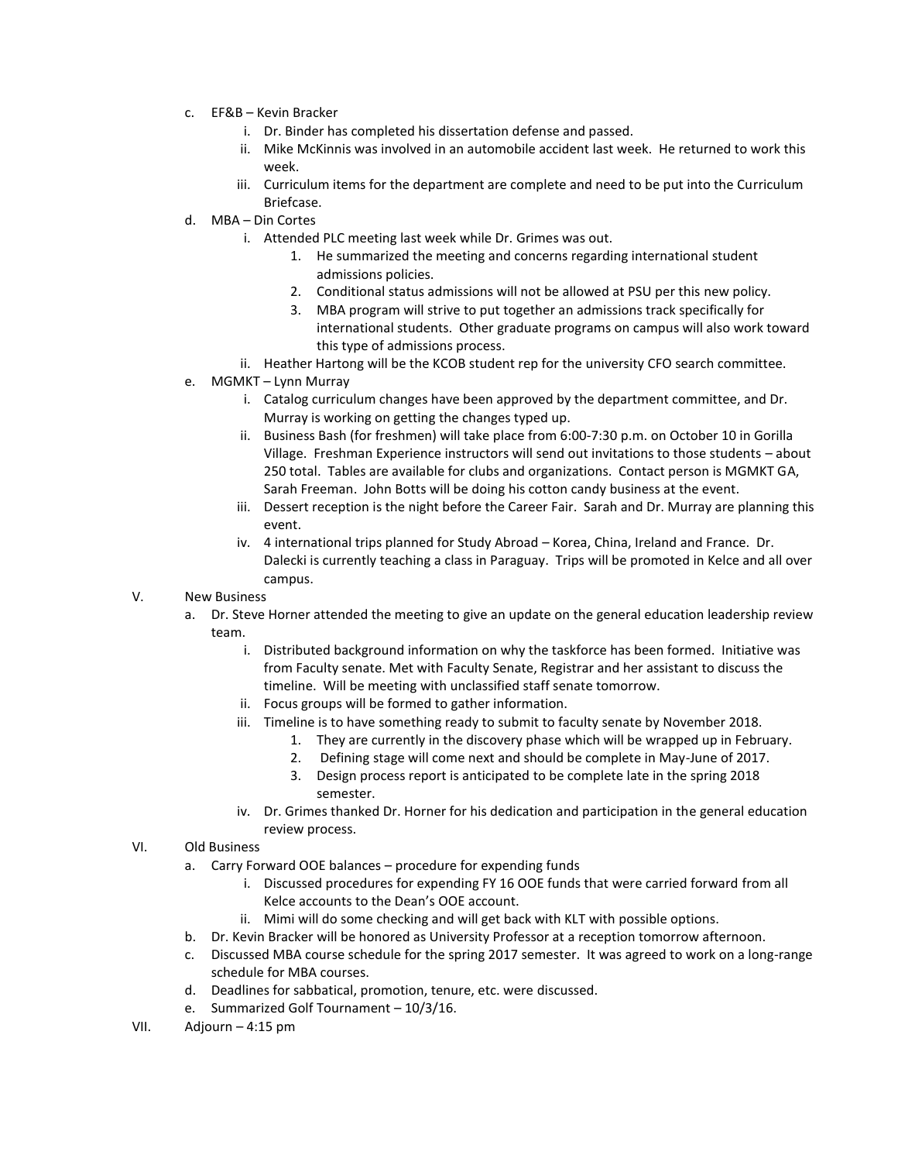- c. EF&B Kevin Bracker
	- i. Dr. Binder has completed his dissertation defense and passed.
	- ii. Mike McKinnis was involved in an automobile accident last week. He returned to work this week.
	- iii. Curriculum items for the department are complete and need to be put into the Curriculum Briefcase.
- d. MBA Din Cortes
	- i. Attended PLC meeting last week while Dr. Grimes was out.
		- 1. He summarized the meeting and concerns regarding international student admissions policies.
		- 2. Conditional status admissions will not be allowed at PSU per this new policy.
		- 3. MBA program will strive to put together an admissions track specifically for international students. Other graduate programs on campus will also work toward this type of admissions process.
	- ii. Heather Hartong will be the KCOB student rep for the university CFO search committee.
- e. MGMKT Lynn Murray
	- i. Catalog curriculum changes have been approved by the department committee, and Dr. Murray is working on getting the changes typed up.
	- ii. Business Bash (for freshmen) will take place from 6:00-7:30 p.m. on October 10 in Gorilla Village. Freshman Experience instructors will send out invitations to those students – about 250 total. Tables are available for clubs and organizations. Contact person is MGMKT GA, Sarah Freeman. John Botts will be doing his cotton candy business at the event.
	- iii. Dessert reception is the night before the Career Fair. Sarah and Dr. Murray are planning this event.
	- iv. 4 international trips planned for Study Abroad Korea, China, Ireland and France. Dr. Dalecki is currently teaching a class in Paraguay. Trips will be promoted in Kelce and all over campus.

## V. New Business

- a. Dr. Steve Horner attended the meeting to give an update on the general education leadership review team.
	- i. Distributed background information on why the taskforce has been formed. Initiative was from Faculty senate. Met with Faculty Senate, Registrar and her assistant to discuss the timeline. Will be meeting with unclassified staff senate tomorrow.
	- ii. Focus groups will be formed to gather information.
	- iii. Timeline is to have something ready to submit to faculty senate by November 2018.
		- 1. They are currently in the discovery phase which will be wrapped up in February.
		- 2. Defining stage will come next and should be complete in May-June of 2017.
		- 3. Design process report is anticipated to be complete late in the spring 2018 semester.
	- iv. Dr. Grimes thanked Dr. Horner for his dedication and participation in the general education review process.
- VI. Old Business
	- a. Carry Forward OOE balances procedure for expending funds
		- i. Discussed procedures for expending FY 16 OOE funds that were carried forward from all Kelce accounts to the Dean's OOE account.
		- ii. Mimi will do some checking and will get back with KLT with possible options.
	- b. Dr. Kevin Bracker will be honored as University Professor at a reception tomorrow afternoon.
	- c. Discussed MBA course schedule for the spring 2017 semester. It was agreed to work on a long-range schedule for MBA courses.
	- d. Deadlines for sabbatical, promotion, tenure, etc. were discussed.
	- e. Summarized Golf Tournament 10/3/16.
- VII. Adjourn 4:15 pm